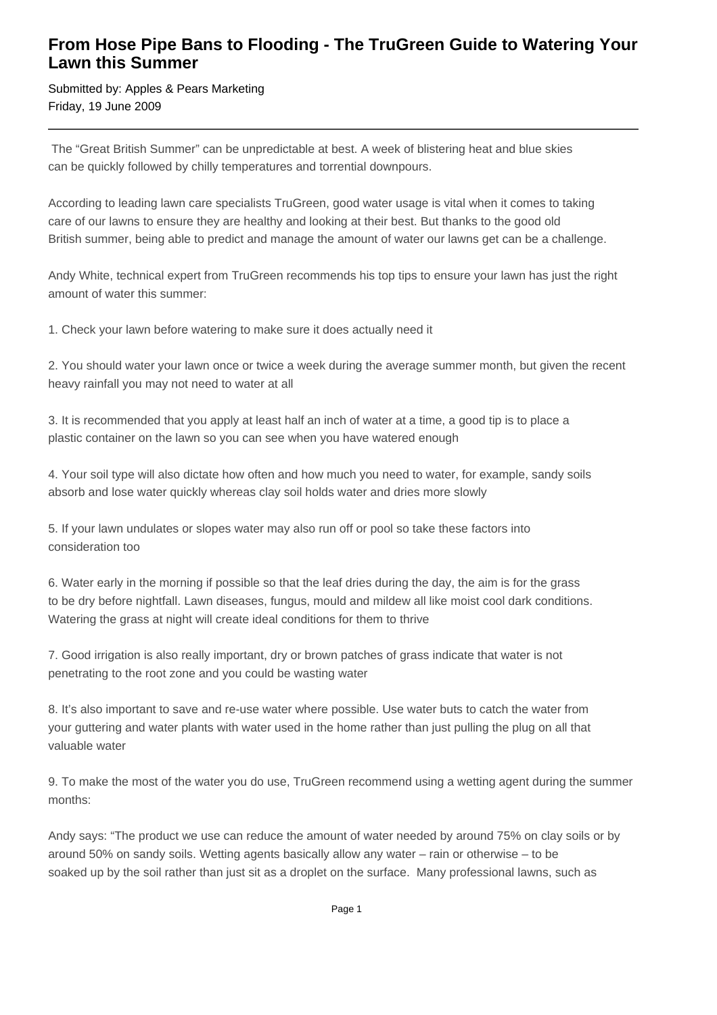## **From Hose Pipe Bans to Flooding - The TruGreen Guide to Watering Your Lawn this Summer**

Submitted by: Apples & Pears Marketing Friday, 19 June 2009

 The "Great British Summer" can be unpredictable at best. A week of blistering heat and blue skies can be quickly followed by chilly temperatures and torrential downpours.

According to leading lawn care specialists TruGreen, good water usage is vital when it comes to taking care of our lawns to ensure they are healthy and looking at their best. But thanks to the good old British summer, being able to predict and manage the amount of water our lawns get can be a challenge.

Andy White, technical expert from TruGreen recommends his top tips to ensure your lawn has just the right amount of water this summer:

1. Check your lawn before watering to make sure it does actually need it

2. You should water your lawn once or twice a week during the average summer month, but given the recent heavy rainfall you may not need to water at all

3. It is recommended that you apply at least half an inch of water at a time, a good tip is to place a plastic container on the lawn so you can see when you have watered enough

4. Your soil type will also dictate how often and how much you need to water, for example, sandy soils absorb and lose water quickly whereas clay soil holds water and dries more slowly

5. If your lawn undulates or slopes water may also run off or pool so take these factors into consideration too

6. Water early in the morning if possible so that the leaf dries during the day, the aim is for the grass to be dry before nightfall. Lawn diseases, fungus, mould and mildew all like moist cool dark conditions. Watering the grass at night will create ideal conditions for them to thrive

7. Good irrigation is also really important, dry or brown patches of grass indicate that water is not penetrating to the root zone and you could be wasting water

8. It's also important to save and re-use water where possible. Use water buts to catch the water from your guttering and water plants with water used in the home rather than just pulling the plug on all that valuable water

9. To make the most of the water you do use, TruGreen recommend using a wetting agent during the summer months:

Andy says: "The product we use can reduce the amount of water needed by around 75% on clay soils or by around 50% on sandy soils. Wetting agents basically allow any water – rain or otherwise – to be soaked up by the soil rather than just sit as a droplet on the surface. Many professional lawns, such as